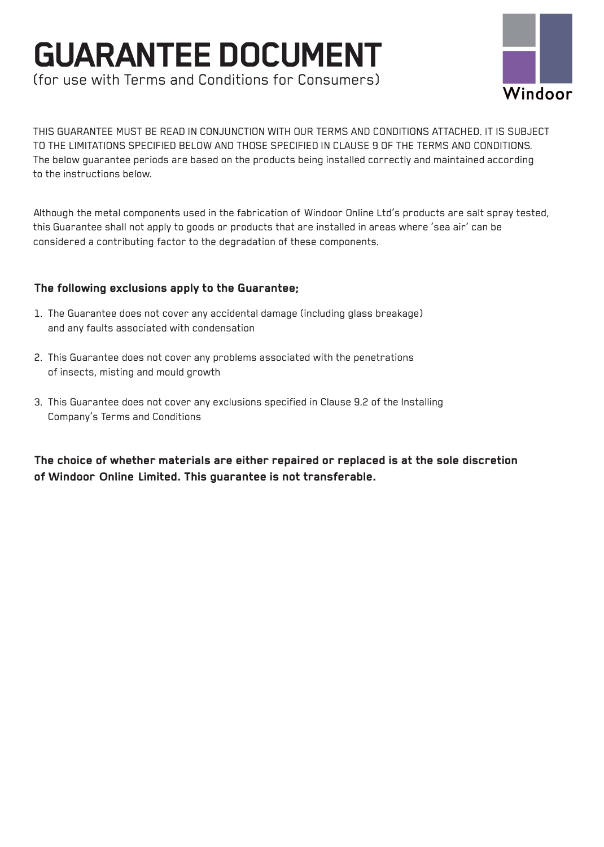## **GUARANTEE DOCUMENT**  (for use with Terms and Conditions for Consumers)



THIS GUARANTEE MUST BE READ IN CONJUNCTION WITH OUR TERMS AND CONDITIONS ATTACHED. IT IS SUBJECT TO THE LIMITATIONS SPECIFIED BELOW AND THOSE SPECIFIED IN CLAUSE 9 OF THE TERMS AND CONDITIONS. The below guarantee periods are based on the products being installed correctly and maintained according to the instructions below.

Although the metal components used in the fabrication of Windoor Online Ltd's products are salt spray tested, this Guarantee shall not apply to goods or products that are installed in areas where 'sea air' can be considered a contributing factor to the degradation of these components.

#### **The following exclusions apply to the Guarantee;**

- 1. The Guarantee does not cover any accidental damage (including glass breakage) and any faults associated with condensation
- 2. This Guarantee does not cover any problems associated with the penetrations of insects, misting and mould growth
- 3. This Guarantee does not cover any exclusions specified in Clause 9.2 of the Installing Company's Terms and Conditions

**The choice of whether materials are either repaired or replaced is at the sole discretion of Windoor Online Limited. This guarantee is not transferable.**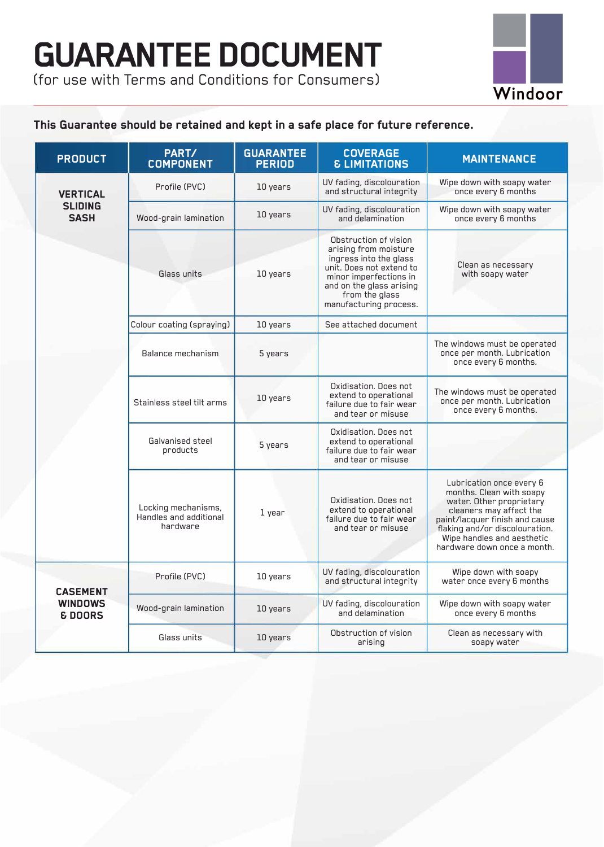

### **This Guarantee should be retained and kept in a safe place for future reference.**

| <b>PRODUCT</b>                                          | PART/<br><b>COMPONENT</b>                                 | <b>GUARANTEE</b><br><b>PERIOD</b> | <b>COVERAGE</b><br><b>&amp; LIMITATIONS</b>                                                                                                                                                            | <b>MAINTENANCE</b>                                                                                                                                                                                                                           |
|---------------------------------------------------------|-----------------------------------------------------------|-----------------------------------|--------------------------------------------------------------------------------------------------------------------------------------------------------------------------------------------------------|----------------------------------------------------------------------------------------------------------------------------------------------------------------------------------------------------------------------------------------------|
| <b>VERTICAL</b><br><b>SLIDING</b><br><b>SASH</b>        | Profile (PVC)                                             | 10 years                          | UV fading, discolouration<br>and structural integrity                                                                                                                                                  | Wipe down with soapy water<br>once every 6 months                                                                                                                                                                                            |
|                                                         | Wood-grain lamination                                     | 10 years                          | UV fading, discolouration<br>and delamination                                                                                                                                                          | Wipe down with soapy water<br>once every 6 months                                                                                                                                                                                            |
|                                                         | Glass units                                               | 10 years                          | Obstruction of vision<br>arising from moisture<br>ingress into the glass<br>unit. Does not extend to<br>minor imperfections in<br>and on the glass arising<br>from the glass<br>manufacturing process. | Clean as necessary<br>with soapy water                                                                                                                                                                                                       |
|                                                         | Colour coating (spraying)                                 | 10 years                          | See attached document                                                                                                                                                                                  |                                                                                                                                                                                                                                              |
|                                                         | Balance mechanism                                         | 5 years                           |                                                                                                                                                                                                        | The windows must be operated<br>once per month. Lubrication<br>once every 6 months.                                                                                                                                                          |
|                                                         | Stainless steel tilt arms                                 | 10 years                          | Oxidisation, Does not<br>extend to operational<br>failure due to fair wear<br>and tear or misuse                                                                                                       | The windows must be operated<br>once per month. Lubrication<br>once every 6 months.                                                                                                                                                          |
|                                                         | Galvanised steel<br>products                              | 5 years                           | Oxidisation, Does not<br>extend to operational<br>failure due to fair wear<br>and tear or misuse                                                                                                       |                                                                                                                                                                                                                                              |
|                                                         | Locking mechanisms,<br>Handles and additional<br>hardware | 1 year                            | Oxidisation, Does not<br>extend to operational<br>failure due to fair wear<br>and tear or misuse                                                                                                       | Lubrication once every 6<br>months. Clean with soapy<br>water. Other proprietary<br>cleaners may affect the<br>paint/lacquer finish and cause<br>flaking and/or discolouration.<br>Wipe handles and aesthetic<br>hardware down once a month. |
| <b>CASEMENT</b><br><b>WINDOWS</b><br><b>&amp; DOORS</b> | Profile (PVC)                                             | 10 years                          | UV fading, discolouration<br>and structural integrity                                                                                                                                                  | Wipe down with soapy<br>water once every 6 months                                                                                                                                                                                            |
|                                                         | Wood-grain lamination                                     | 10 years                          | UV fading, discolouration<br>and delamination                                                                                                                                                          | Wipe down with soapy water<br>once every 6 months                                                                                                                                                                                            |
|                                                         | Glass units                                               | 10 years                          | Obstruction of vision<br>arising                                                                                                                                                                       | Clean as necessary with<br>soapy water                                                                                                                                                                                                       |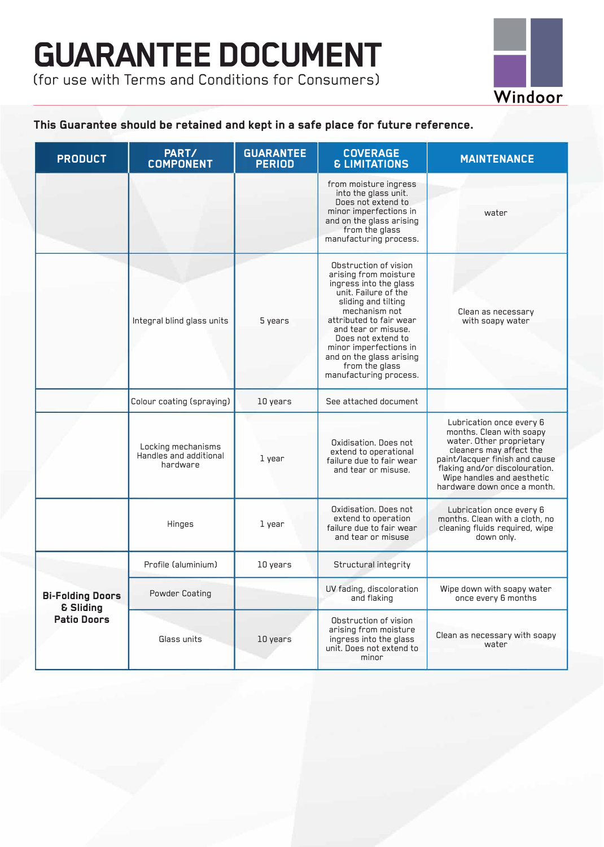# **GUARANTEE DOCUMENT**

**(for use with Terms and Conditions for Consumers)** 



### **This Guarantee should be retained and kept in a safe place for future reference.**

| <b>PRODUCT</b>                                                        | PART/<br><b>COMPONENT</b>                                | <b>GUARANTEE</b><br><b>PERIOD</b> | <b>COVERAGE</b><br><b>&amp; LIMITATIONS</b>                                                                                                                                                                                                                                                                        | <b>MAINTENANCE</b>                                                                                                                                                                                                                           |
|-----------------------------------------------------------------------|----------------------------------------------------------|-----------------------------------|--------------------------------------------------------------------------------------------------------------------------------------------------------------------------------------------------------------------------------------------------------------------------------------------------------------------|----------------------------------------------------------------------------------------------------------------------------------------------------------------------------------------------------------------------------------------------|
|                                                                       |                                                          |                                   | from moisture ingress<br>into the glass unit.<br>Does not extend to<br>minor imperfections in<br>and on the glass arising<br>from the glass<br>manufacturing process.                                                                                                                                              | water                                                                                                                                                                                                                                        |
|                                                                       | Integral blind glass units                               | 5 years                           | Obstruction of vision<br>arising from moisture<br>ingress into the glass<br>unit. Failure of the<br>sliding and tilting<br>mechanism not<br>attributed to fair wear<br>and tear or misuse.<br>Does not extend to<br>minor imperfections in<br>and on the glass arising<br>from the glass<br>manufacturing process. | Clean as necessary<br>with soapy water                                                                                                                                                                                                       |
|                                                                       | Colour coating (spraying)                                | 10 years                          | See attached document                                                                                                                                                                                                                                                                                              |                                                                                                                                                                                                                                              |
|                                                                       | Locking mechanisms<br>Handles and additional<br>hardware | 1 year                            | Oxidisation, Does not<br>extend to operational<br>failure due to fair wear<br>and tear or misuse.                                                                                                                                                                                                                  | Lubrication once every 6<br>months. Clean with soapy<br>water. Other proprietary<br>cleaners may affect the<br>paint/lacquer finish and cause<br>flaking and/or discolouration.<br>Wipe handles and aesthetic<br>hardware down once a month. |
|                                                                       | Hinges                                                   | 1 year                            | Oxidisation. Does not<br>extend to operation<br>failure due to fair wear<br>and tear or misuse                                                                                                                                                                                                                     | Lubrication once every 6<br>months. Clean with a cloth, no<br>cleaning fluids required, wipe<br>down only.                                                                                                                                   |
| <b>Bi-Folding Doors</b><br><b>&amp; Sliding</b><br><b>Patio Doors</b> | Profile (aluminium)                                      | 10 years                          | Structural integrity                                                                                                                                                                                                                                                                                               |                                                                                                                                                                                                                                              |
|                                                                       | <b>Powder Coating</b>                                    |                                   | UV fading, discoloration<br>and flaking                                                                                                                                                                                                                                                                            | Wipe down with soapy water<br>once every 6 months                                                                                                                                                                                            |
|                                                                       | Glass units                                              | 10 years                          | Obstruction of vision<br>arising from moisture<br>ingress into the glass<br>unit. Does not extend to<br>minor                                                                                                                                                                                                      | Clean as necessary with soapy<br>water                                                                                                                                                                                                       |